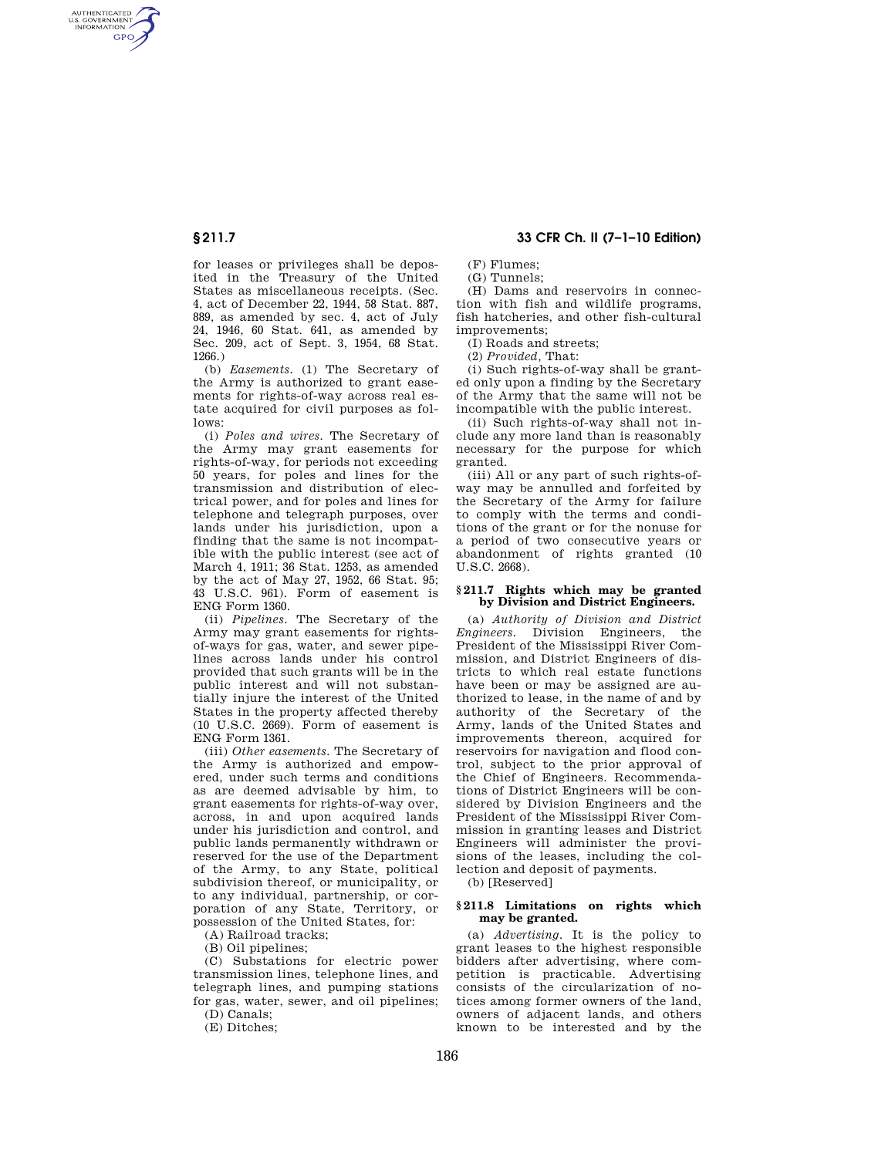AUTHENTICATED<br>U.S. GOVERNMENT<br>INFORMATION **GPO** 

> for leases or privileges shall be deposited in the Treasury of the United States as miscellaneous receipts. (Sec. 4, act of December 22, 1944, 58 Stat. 887, 889, as amended by sec. 4, act of July 24, 1946, 60 Stat. 641, as amended by Sec. 209, act of Sept. 3, 1954, 68 Stat. 1266.)

> (b) *Easements.* (1) The Secretary of the Army is authorized to grant easements for rights-of-way across real estate acquired for civil purposes as follows:

(i) *Poles and wires.* The Secretary of the Army may grant easements for rights-of-way, for periods not exceeding 50 years, for poles and lines for the transmission and distribution of electrical power, and for poles and lines for telephone and telegraph purposes, over lands under his jurisdiction, upon a finding that the same is not incompatible with the public interest (see act of March 4, 1911; 36 Stat. 1253, as amended by the act of May 27, 1952, 66 Stat. 95; 43 U.S.C. 961). Form of easement is ENG Form 1360.

(ii) *Pipelines.* The Secretary of the Army may grant easements for rightsof-ways for gas, water, and sewer pipelines across lands under his control provided that such grants will be in the public interest and will not substantially injure the interest of the United States in the property affected thereby (10 U.S.C. 2669). Form of easement is ENG Form 1361.

(iii) *Other easements.* The Secretary of the Army is authorized and empowered, under such terms and conditions as are deemed advisable by him, to grant easements for rights-of-way over, across, in and upon acquired lands under his jurisdiction and control, and public lands permanently withdrawn or reserved for the use of the Department of the Army, to any State, political subdivision thereof, or municipality, or to any individual, partnership, or corporation of any State, Territory, or possession of the United States, for:

(A) Railroad tracks;

(B) Oil pipelines;

(C) Substations for electric power transmission lines, telephone lines, and telegraph lines, and pumping stations for gas, water, sewer, and oil pipelines;

(D) Canals; (E) Ditches;

**§ 211.7 33 CFR Ch. II (7–1–10 Edition)** 

 $(F)$  Flumes;

 $(G)$  Tunnels;

(H) Dams and reservoirs in connection with fish and wildlife programs, fish hatcheries, and other fish-cultural improvements;

(I) Roads and streets;

(2) *Provided,* That:

(i) Such rights-of-way shall be granted only upon a finding by the Secretary of the Army that the same will not be incompatible with the public interest.

(ii) Such rights-of-way shall not include any more land than is reasonably necessary for the purpose for which granted.

(iii) All or any part of such rights-ofway may be annulled and forfeited by the Secretary of the Army for failure to comply with the terms and conditions of the grant or for the nonuse for a period of two consecutive years or abandonment of rights granted (10 U.S.C. 2668).

#### **§ 211.7 Rights which may be granted by Division and District Engineers.**

(a) *Authority of Division and District Engineers.* Division Engineers, the President of the Mississippi River Commission, and District Engineers of districts to which real estate functions have been or may be assigned are authorized to lease, in the name of and by authority of the Secretary of the Army, lands of the United States and improvements thereon, acquired for reservoirs for navigation and flood control, subject to the prior approval of the Chief of Engineers. Recommendations of District Engineers will be considered by Division Engineers and the President of the Mississippi River Commission in granting leases and District Engineers will administer the provisions of the leases, including the collection and deposit of payments.

(b) [Reserved]

## **§ 211.8 Limitations on rights which may be granted.**

(a) *Advertising.* It is the policy to grant leases to the highest responsible bidders after advertising, where competition is practicable. Advertising consists of the circularization of notices among former owners of the land, owners of adjacent lands, and others known to be interested and by the